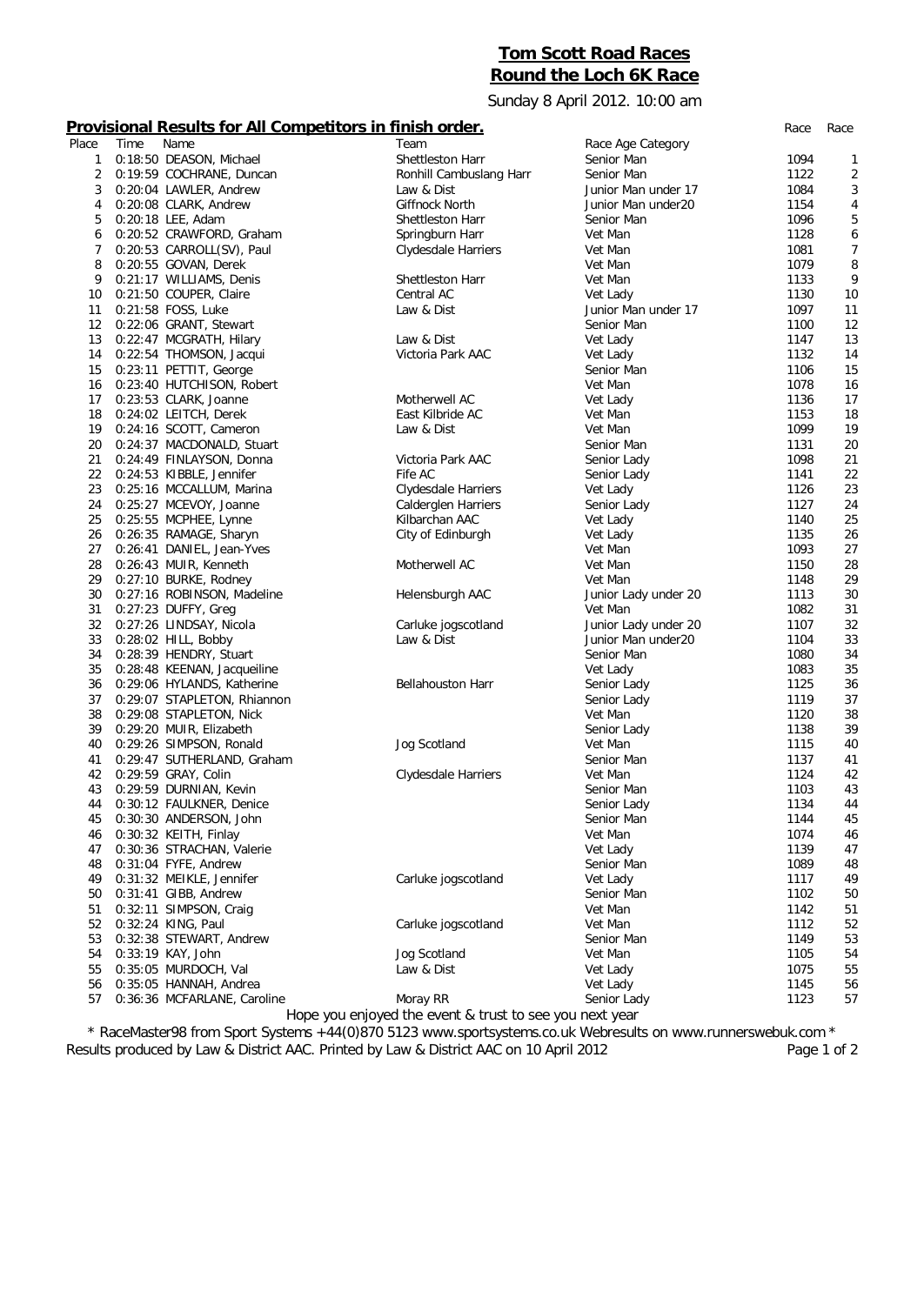## **Tom Scott Road Races Round the Loch 6K Race**

Sunday 8 April 2012. 10:00 am

## **Provisional Results for All Competitors in finish order.** *Race Race*

| Place | Time | Name                        | Team                                                    | Race Age Category    |      |    |
|-------|------|-----------------------------|---------------------------------------------------------|----------------------|------|----|
| 1     |      | 0:18:50 DEASON, Michael     | Shettleston Harr                                        | Senior Man           | 1094 | 1  |
| 2     |      | 0:19:59 COCHRANE, Duncan    | Ronhill Cambuslang Harr                                 | Senior Man           | 1122 | 2  |
| 3     |      | 0:20:04 LAWLER, Andrew      | Law & Dist                                              | Junior Man under 17  | 1084 | 3  |
| 4     |      | 0:20:08 CLARK, Andrew       | Giffnock North                                          | Junior Man under20   | 1154 | 4  |
| 5     |      | 0:20:18 LEE, Adam           | Shettleston Harr                                        | Senior Man           | 1096 | 5  |
| 6     |      | 0:20:52 CRAWFORD, Graham    | Springburn Harr                                         | Vet Man              | 1128 | 6  |
| 7     |      | 0:20:53 CARROLL(SV), Paul   | Clydesdale Harriers                                     | Vet Man              | 1081 | 7  |
| 8     |      | 0:20:55 GOVAN, Derek        |                                                         | Vet Man              | 1079 | 8  |
| 9     |      | 0:21:17 WILLIAMS, Denis     | Shettleston Harr                                        | Vet Man              | 1133 | 9  |
| 10    |      | 0:21:50 COUPER, Claire      | Central AC                                              | Vet Lady             | 1130 | 10 |
| 11    |      | 0:21:58 FOSS, Luke          | Law & Dist                                              | Junior Man under 17  | 1097 | 11 |
| 12    |      | 0:22:06 GRANT, Stewart      |                                                         | Senior Man           | 1100 | 12 |
| 13    |      | 0:22:47 MCGRATH, Hilary     | Law & Dist                                              |                      | 1147 | 13 |
| 14    |      | 0:22:54 THOMSON, Jacqui     | Victoria Park AAC                                       | Vet Lady             | 1132 | 14 |
|       |      |                             |                                                         | Vet Lady             | 1106 | 15 |
| 15    |      | 0:23:11 PETTIT, George      |                                                         | Senior Man           |      |    |
| 16    |      | 0:23:40 HUTCHISON, Robert   |                                                         | Vet Man              | 1078 | 16 |
| 17    |      | 0:23:53 CLARK, Joanne       | Motherwell AC                                           | Vet Lady             | 1136 | 17 |
| 18    |      | 0:24:02 LEITCH, Derek       | East Kilbride AC                                        | Vet Man              | 1153 | 18 |
| 19    |      | 0:24:16 SCOTT, Cameron      | Law & Dist                                              | Vet Man              | 1099 | 19 |
| 20    |      | 0:24:37 MACDONALD, Stuart   |                                                         | Senior Man           | 1131 | 20 |
| 21    |      | 0:24:49 FINLAYSON, Donna    | Victoria Park AAC                                       | Senior Lady          | 1098 | 21 |
| 22    |      | 0:24:53 KIBBLE, Jennifer    | Fife AC                                                 | Senior Lady          | 1141 | 22 |
| 23    |      | 0:25:16 MCCALLUM, Marina    | Clydesdale Harriers                                     | Vet Lady             | 1126 | 23 |
| 24    |      | 0:25:27 MCEVOY, Joanne      | Calderglen Harriers                                     | Senior Lady          | 1127 | 24 |
| 25    |      | 0:25:55 MCPHEE, Lynne       | Kilbarchan AAC                                          | Vet Lady             | 1140 | 25 |
| 26    |      | 0:26:35 RAMAGE, Sharyn      | City of Edinburgh                                       | Vet Lady             | 1135 | 26 |
| 27    |      | 0:26:41 DANIEL, Jean-Yves   |                                                         | Vet Man              | 1093 | 27 |
| 28    |      | 0:26:43 MUIR, Kenneth       | Motherwell AC                                           | Vet Man              | 1150 | 28 |
| 29    |      | 0:27:10 BURKE, Rodney       |                                                         | Vet Man              | 1148 | 29 |
| 30    |      | 0:27:16 ROBINSON, Madeline  | Helensburgh AAC                                         | Junior Lady under 20 | 1113 | 30 |
| 31    |      | 0:27:23 DUFFY, Greg         |                                                         | Vet Man              | 1082 | 31 |
| 32    |      | 0:27:26 LINDSAY, Nicola     | Carluke jogscotland                                     | Junior Lady under 20 | 1107 | 32 |
| 33    |      | 0:28:02 HILL, Bobby         | Law & Dist                                              | Junior Man under20   | 1104 | 33 |
| 34    |      | 0:28:39 HENDRY, Stuart      |                                                         | Senior Man           | 1080 | 34 |
| 35    |      | 0:28:48 KEENAN, Jacqueiline |                                                         | Vet Lady             | 1083 | 35 |
| 36    |      | 0:29:06 HYLANDS, Katherine  | <b>Bellahouston Harr</b>                                | Senior Lady          | 1125 | 36 |
| 37    |      | 0:29:07 STAPLETON, Rhiannon |                                                         | Senior Lady          | 1119 | 37 |
| 38    |      | 0:29:08 STAPLETON, Nick     |                                                         | Vet Man              | 1120 | 38 |
| 39    |      | 0:29:20 MUIR, Elizabeth     |                                                         | Senior Lady          | 1138 | 39 |
| 40    |      | 0:29:26 SIMPSON, Ronald     | Jog Scotland                                            | Vet Man              | 1115 | 40 |
| 41    |      | 0:29:47 SUTHERLAND, Graham  |                                                         | Senior Man           | 1137 | 41 |
| 42    |      | 0:29:59 GRAY, Colin         | Clydesdale Harriers                                     | Vet Man              | 1124 | 42 |
| 43    |      | 0:29:59 DURNIAN, Kevin      |                                                         | Senior Man           | 1103 | 43 |
| 44    |      | 0:30:12 FAULKNER, Denice    |                                                         | Senior Lady          | 1134 | 44 |
| 45    |      | 0:30:30 ANDERSON, John      |                                                         | Senior Man           | 1144 | 45 |
| 46    |      | 0:30:32 KEITH, Finlay       |                                                         | Vet Man              | 1074 | 46 |
| 47    |      | 0:30:36 STRACHAN, Valerie   |                                                         | Vet Lady             | 1139 | 47 |
| 48    |      | 0:31:04 FYFE, Andrew        |                                                         | Senior Man           | 1089 | 48 |
| 49    |      | 0:31:32 MEIKLE, Jennifer    | Carluke jogscotland                                     | Vet Lady             | 1117 | 49 |
| 50    |      | $0:31:41$ GIBB, Andrew      |                                                         | Senior Man           | 1102 | 50 |
| 51    |      | 0:32:11 SIMPSON, Craig      |                                                         | Vet Man              | 1142 | 51 |
| 52    |      |                             |                                                         | Vet Man              | 1112 | 52 |
|       |      | 0:32:24 KING, Paul          | Carluke jogscotland                                     |                      |      |    |
| 53    |      | 0:32:38 STEWART, Andrew     |                                                         | Senior Man           | 1149 | 53 |
| 54    |      | $0:33:19$ KAY, John         | Jog Scotland                                            | Vet Man              | 1105 | 54 |
| 55    |      | 0:35:05 MURDOCH, Val        | Law & Dist                                              | Vet Lady             | 1075 | 55 |
| 56    |      | 0:35:05 HANNAH, Andrea      |                                                         | Vet Lady             | 1145 | 56 |
| 57    |      | 0:36:36 MCFARLANE, Caroline | Moray RR                                                | Senior Lady          | 1123 | 57 |
|       |      |                             | Hope you enjoyed the event & trust to see you next year |                      |      |    |

*\* RaceMaster98 from Sport Systems +44(0)870 5123 www.sportsystems.co.uk Webresults on www.runnerswebuk.com \** Results produced by Law & District AAC. Printed by Law & District AAC on 10 April 2012 **Page 1 of 2** Page 1 of 2